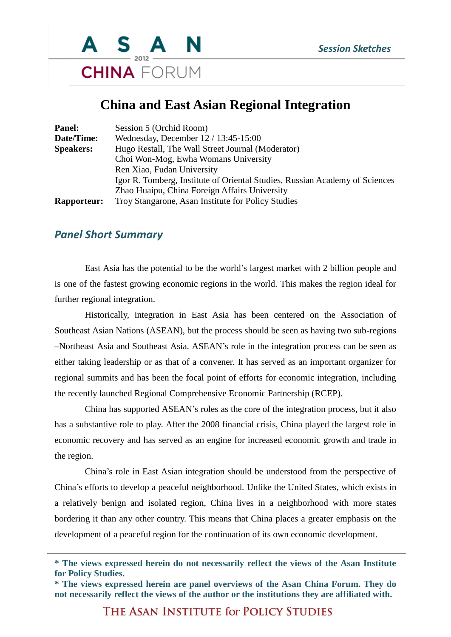

## **China and East Asian Regional Integration**

| Panel:             | Session 5 (Orchid Room)                                                     |
|--------------------|-----------------------------------------------------------------------------|
| Date/Time:         | Wednesday, December 12 / 13:45-15:00                                        |
| <b>Speakers:</b>   | Hugo Restall, The Wall Street Journal (Moderator)                           |
|                    | Choi Won-Mog, Ewha Womans University                                        |
|                    | Ren Xiao, Fudan University                                                  |
|                    | Igor R. Tomberg, Institute of Oriental Studies, Russian Academy of Sciences |
|                    | Zhao Huaipu, China Foreign Affairs University                               |
| <b>Rapporteur:</b> | Troy Stangarone, Asan Institute for Policy Studies                          |

## *Panel Short Summary*

East Asia has the potential to be the world's largest market with 2 billion people and is one of the fastest growing economic regions in the world. This makes the region ideal for further regional integration.

Historically, integration in East Asia has been centered on the Association of Southeast Asian Nations (ASEAN), but the process should be seen as having two sub-regions –Northeast Asia and Southeast Asia. ASEAN's role in the integration process can be seen as either taking leadership or as that of a convener. It has served as an important organizer for regional summits and has been the focal point of efforts for economic integration, including the recently launched Regional Comprehensive Economic Partnership (RCEP).

China has supported ASEAN's roles as the core of the integration process, but it also has a substantive role to play. After the 2008 financial crisis, China played the largest role in economic recovery and has served as an engine for increased economic growth and trade in the region.

China's role in East Asian integration should be understood from the perspective of China's efforts to develop a peaceful neighborhood. Unlike the United States, which exists in a relatively benign and isolated region, China lives in a neighborhood with more states bordering it than any other country. This means that China places a greater emphasis on the development of a peaceful region for the continuation of its own economic development.

THE ASAN INSTITUTE for POLICY STUDIES

**<sup>\*</sup> The views expressed herein do not necessarily reflect the views of the Asan Institute for Policy Studies.**

**<sup>\*</sup> The views expressed herein are panel overviews of the Asan China Forum. They do not necessarily reflect the views of the author or the institutions they are affiliated with.**